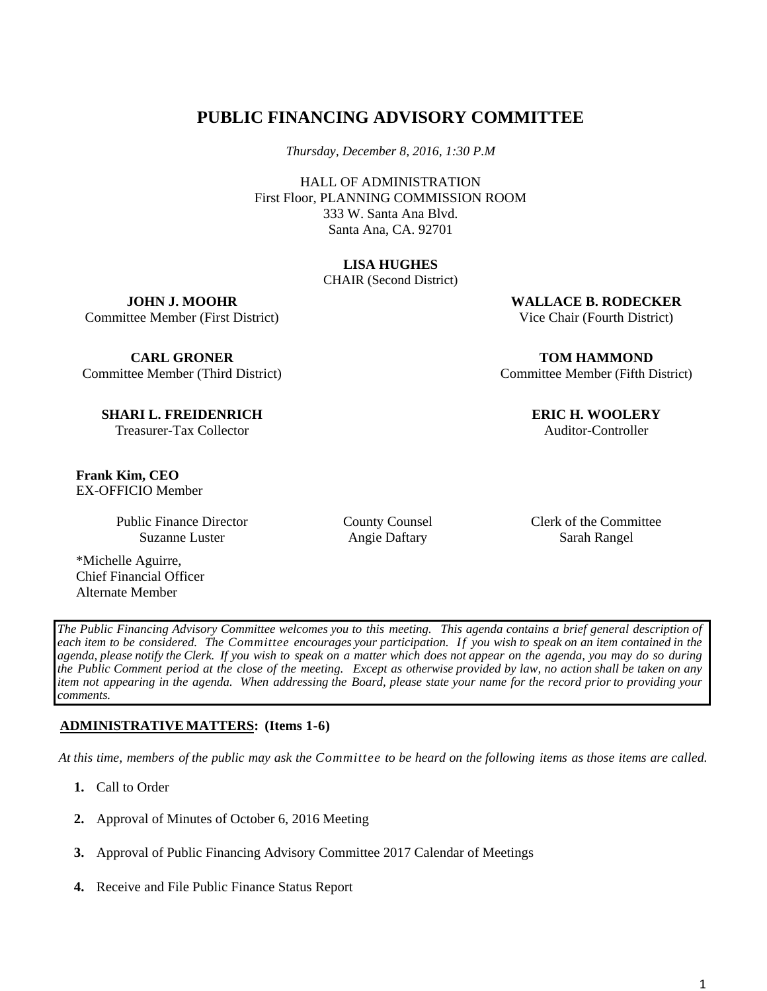# **PUBLIC FINANCING ADVISORY COMMITTEE**

*Thursday, December 8, 2016, 1:30 P.M* 

HALL OF ADMINISTRATION First Floor, PLANNING COMMISSION ROOM 333 W. Santa Ana Blvd. Santa Ana, CA. 92701

## **LISA HUGHES**

CHAIR (Second District)

**JOHN J. MOOHR**  Committee Member (First District)

**CARL GRONER**  Committee Member (Third District)

**SHARI L. FREIDENRICH**  Treasurer-Tax Collector

**Frank Kim, CEO**  EX-OFFICIO Member

> Public Finance Director Suzanne Luster

\*Michelle Aguirre, Chief Financial Officer Alternate Member

**WALLACE B. RODECKER**  Vice Chair (Fourth District)

**TOM HAMMOND**  Committee Member (Fifth District)

> **ERIC H. WOOLERY**  Auditor-Controller

County Counsel Angie Daftary

Clerk of the Committee Sarah Rangel

*The Public Financing Advisory Committee welcomes you to this meeting. This agenda contains a brief general description of each item to be considered. The Committee encourages your participation. If you wish to speak on an item contained in the agenda, please notify the Clerk. If you wish to speak on a matter which does not appear on the agenda, you may do so during the Public Comment period at the close of the meeting. Except as otherwise provided by law, no action shall be taken on any item not appearing in the agenda. When addressing the Board, please state your name for the record prior to providing your comments.*

## **ADMINISTRATIVE MATTERS: (Items 1-6)**

*At this time, members of the public may ask the Committee to be heard on the following items as those items are called.*

- **1.** Call to Order
- **2.** Approval of Minutes of October 6, 2016 Meeting
- **3.** Approval of Public Financing Advisory Committee 2017 Calendar of Meetings
- **4.** Receive and File Public Finance Status Report